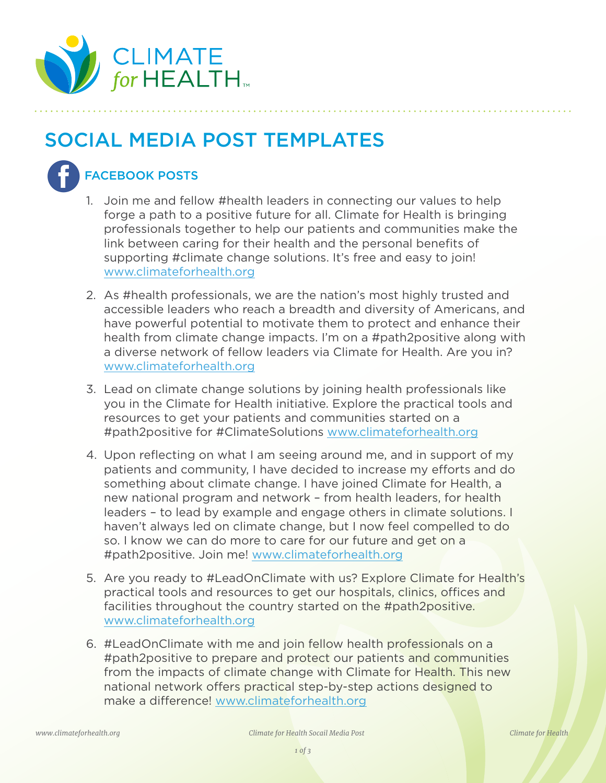

## SOCIAL MEDIA POST TEMPLATES



## FACEBOOK POSTS

- 1. Join me and fellow #health leaders in connecting our values to help forge a path to a positive future for all. Climate for Health is bringing professionals together to help our patients and communities make the link between caring for their health and the personal benefits of supporting #climate change solutions. It's free and easy to join! [www.climateforhealth.org](http://www.climateforhealth.org)
- 2. As #health professionals, we are the nation's most highly trusted and accessible leaders who reach a breadth and diversity of Americans, and have powerful potential to motivate them to protect and enhance their health from climate change impacts. I'm on a #path2positive along with a diverse network of fellow leaders via Climate for Health. Are you in? [www.climateforhealth.org](http://www.climateforhealth.org)
- 3. Lead on climate change solutions by joining health professionals like you in the Climate for Health initiative. Explore the practical tools and resources to get your patients and communities started on a #path2positive for #ClimateSolutions [www.climateforhealth.org](http://www.climateforhealth.org)
- 4. Upon reflecting on what I am seeing around me, and in support of my patients and community, I have decided to increase my efforts and do something about climate change. I have joined Climate for Health, a new national program and network – from health leaders, for health leaders – to lead by example and engage others in climate solutions. I haven't always led on climate change, but I now feel compelled to do so. I know we can do more to care for our future and get on a #path2positive. Join me! [www.climateforhealth.org](http://www.climateforhealth.org)
- 5. Are you ready to #LeadOnClimate with us? Explore Climate for Health's practical tools and resources to get our hospitals, clinics, offices and facilities throughout the country started on the #path2positive. [www.climateforhealth.org](http://www.climateforhealth.org)
- 6. #LeadOnClimate with me and join fellow health professionals on a #path2positive to prepare and protect our patients and communities from the impacts of climate change with Climate for Health. This new national network offers practical step-by-step actions designed to make a difference! [www.climateforhealth.org](http://www.climateforhealth.org)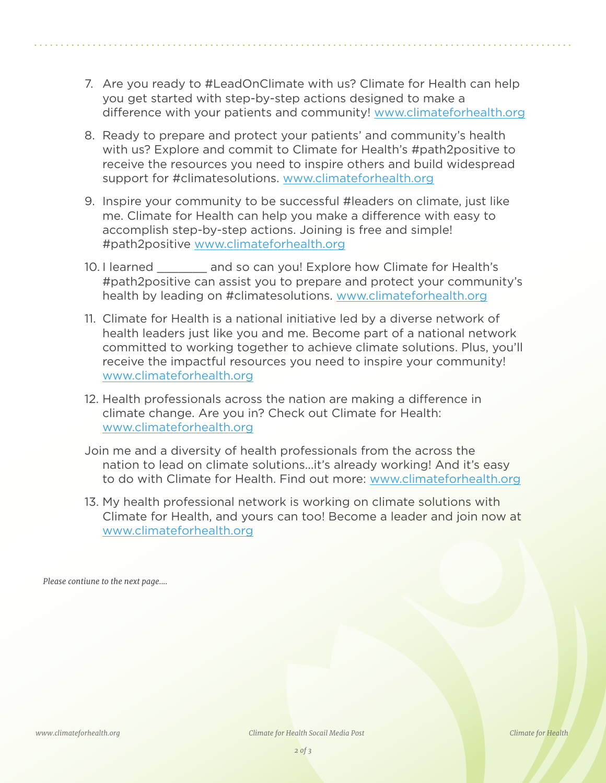- 7. Are you ready to #LeadOnClimate with us? Climate for Health can help you get started with step-by-step actions designed to make a difference with your patients and community! [www.climateforhealth.org](http://www.climateforhealth.org)
- 8. Ready to prepare and protect your patients' and community's health with us? Explore and commit to Climate for Health's #path2positive to receive the resources you need to inspire others and build widespread support for #climatesolutions. [www.climateforhealth.org](http://www.climateforhealth.org)
- 9. Inspire your community to be successful #leaders on climate, just like me. Climate for Health can help you make a difference with easy to accomplish step-by-step actions. Joining is free and simple! #path2positive [www.climateforhealth.org](http://www.climateforhealth.org)
- 10. I learned and so can you! Explore how Climate for Health's #path2positive can assist you to prepare and protect your community's health by leading on #climatesolutions. [www.climateforhealth.org](http://www.climateforhealth.org)
- 11. Climate for Health is a national initiative led by a diverse network of health leaders just like you and me. Become part of a national network committed to working together to achieve climate solutions. Plus, you'll receive the impactful resources you need to inspire your community! [www.climateforhealth.org](http://www.climateforhealth.org)
- 12. Health professionals across the nation are making a difference in climate change. Are you in? Check out Climate for Health: [www.climateforhealth.org](http://www.climateforhealth.org)
- Join me and a diversity of health professionals from the across the nation to lead on climate solutions...it's already working! And it's easy to do with Climate for Health. Find out more: [www.climateforhealth.org](http://www.climateforhealth.org)
- 13. My health professional network is working on climate solutions with Climate for Health, and yours can too! Become a leader and join now at [www.climateforhealth.org](http://www.climateforhealth.org)

*Please contiune to the next page....*